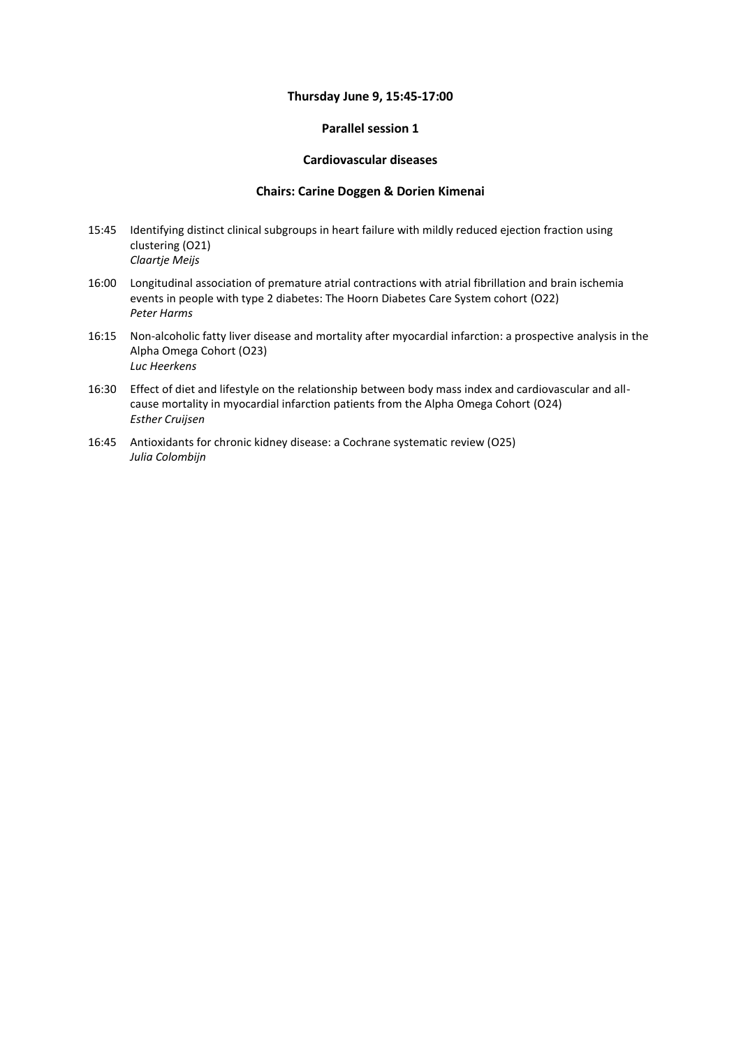#### **Thursday June 9, 15:45-17:00**

### **Parallel session 1**

# **Cardiovascular diseases**

### **Chairs: Carine Doggen & Dorien Kimenai**

- 15:45 Identifying distinct clinical subgroups in heart failure with mildly reduced ejection fraction using clustering (O21) *Claartje Meijs*
- 16:00 Longitudinal association of premature atrial contractions with atrial fibrillation and brain ischemia events in people with type 2 diabetes: The Hoorn Diabetes Care System cohort (O22) *Peter Harms*
- 16:15 Non-alcoholic fatty liver disease and mortality after myocardial infarction: a prospective analysis in the Alpha Omega Cohort (O23) *Luc Heerkens*
- 16:30 Effect of diet and lifestyle on the relationship between body mass index and cardiovascular and allcause mortality in myocardial infarction patients from the Alpha Omega Cohort (O24) *Esther Cruijsen*
- 16:45 Antioxidants for chronic kidney disease: a Cochrane systematic review (O25) *Julia Colombijn*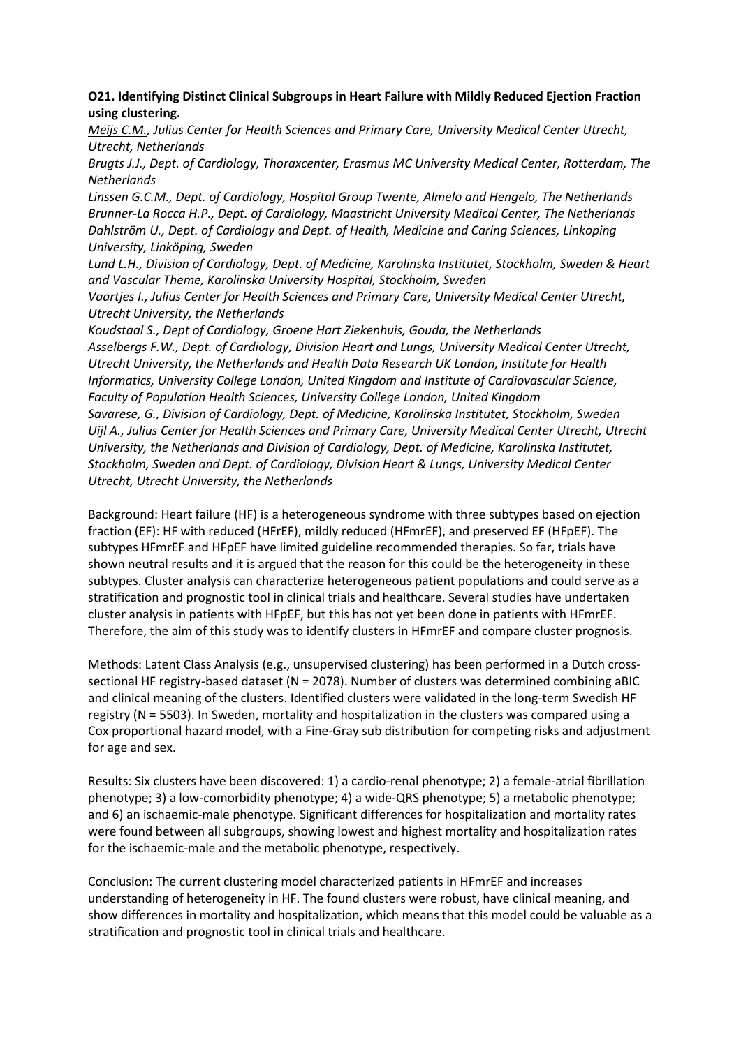# **O21. Identifying Distinct Clinical Subgroups in Heart Failure with Mildly Reduced Ejection Fraction using clustering.**

*Meijs C.M., Julius Center for Health Sciences and Primary Care, University Medical Center Utrecht, Utrecht, Netherlands*

*Brugts J.J., Dept. of Cardiology, Thoraxcenter, Erasmus MC University Medical Center, Rotterdam, The Netherlands*

*Linssen G.C.M., Dept. of Cardiology, Hospital Group Twente, Almelo and Hengelo, The Netherlands Brunner-La Rocca H.P., Dept. of Cardiology, Maastricht University Medical Center, The Netherlands Dahlström U., Dept. of Cardiology and Dept. of Health, Medicine and Caring Sciences, Linkoping University, Linköping, Sweden*

*Lund L.H., Division of Cardiology, Dept. of Medicine, Karolinska Institutet, Stockholm, Sweden & Heart and Vascular Theme, Karolinska University Hospital, Stockholm, Sweden*

*Vaartjes I., Julius Center for Health Sciences and Primary Care, University Medical Center Utrecht, Utrecht University, the Netherlands*

*Koudstaal S., Dept of Cardiology, Groene Hart Ziekenhuis, Gouda, the Netherlands Asselbergs F.W., Dept. of Cardiology, Division Heart and Lungs, University Medical Center Utrecht, Utrecht University, the Netherlands and Health Data Research UK London, Institute for Health Informatics, University College London, United Kingdom and Institute of Cardiovascular Science, Faculty of Population Health Sciences, University College London, United Kingdom Savarese, G., Division of Cardiology, Dept. of Medicine, Karolinska Institutet, Stockholm, Sweden Uijl A., Julius Center for Health Sciences and Primary Care, University Medical Center Utrecht, Utrecht University, the Netherlands and Division of Cardiology, Dept. of Medicine, Karolinska Institutet, Stockholm, Sweden and Dept. of Cardiology, Division Heart & Lungs, University Medical Center Utrecht, Utrecht University, the Netherlands*

Background: Heart failure (HF) is a heterogeneous syndrome with three subtypes based on ejection fraction (EF): HF with reduced (HFrEF), mildly reduced (HFmrEF), and preserved EF (HFpEF). The subtypes HFmrEF and HFpEF have limited guideline recommended therapies. So far, trials have shown neutral results and it is argued that the reason for this could be the heterogeneity in these subtypes. Cluster analysis can characterize heterogeneous patient populations and could serve as a stratification and prognostic tool in clinical trials and healthcare. Several studies have undertaken cluster analysis in patients with HFpEF, but this has not yet been done in patients with HFmrEF. Therefore, the aim of this study was to identify clusters in HFmrEF and compare cluster prognosis.

Methods: Latent Class Analysis (e.g., unsupervised clustering) has been performed in a Dutch crosssectional HF registry-based dataset (N = 2078). Number of clusters was determined combining aBIC and clinical meaning of the clusters. Identified clusters were validated in the long-term Swedish HF registry (N = 5503). In Sweden, mortality and hospitalization in the clusters was compared using a Cox proportional hazard model, with a Fine-Gray sub distribution for competing risks and adjustment for age and sex.

Results: Six clusters have been discovered: 1) a cardio-renal phenotype; 2) a female-atrial fibrillation phenotype; 3) a low-comorbidity phenotype; 4) a wide-QRS phenotype; 5) a metabolic phenotype; and 6) an ischaemic-male phenotype. Significant differences for hospitalization and mortality rates were found between all subgroups, showing lowest and highest mortality and hospitalization rates for the ischaemic-male and the metabolic phenotype, respectively.

Conclusion: The current clustering model characterized patients in HFmrEF and increases understanding of heterogeneity in HF. The found clusters were robust, have clinical meaning, and show differences in mortality and hospitalization, which means that this model could be valuable as a stratification and prognostic tool in clinical trials and healthcare.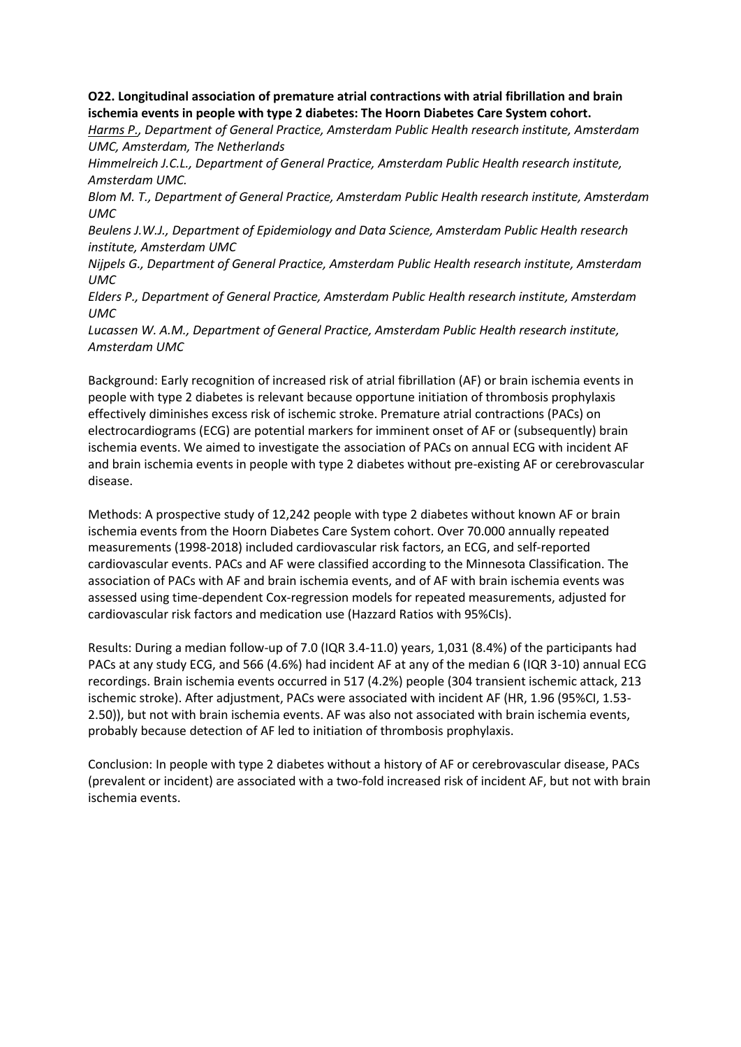**O22. Longitudinal association of premature atrial contractions with atrial fibrillation and brain ischemia events in people with type 2 diabetes: The Hoorn Diabetes Care System cohort.**

*Harms P., Department of General Practice, Amsterdam Public Health research institute, Amsterdam UMC, Amsterdam, The Netherlands*

*Himmelreich J.C.L., Department of General Practice, Amsterdam Public Health research institute, Amsterdam UMC.*

*Blom M. T., Department of General Practice, Amsterdam Public Health research institute, Amsterdam UMC*

*Beulens J.W.J., Department of Epidemiology and Data Science, Amsterdam Public Health research institute, Amsterdam UMC*

*Nijpels G., Department of General Practice, Amsterdam Public Health research institute, Amsterdam UMC*

*Elders P., Department of General Practice, Amsterdam Public Health research institute, Amsterdam UMC*

*Lucassen W. A.M., Department of General Practice, Amsterdam Public Health research institute, Amsterdam UMC*

Background: Early recognition of increased risk of atrial fibrillation (AF) or brain ischemia events in people with type 2 diabetes is relevant because opportune initiation of thrombosis prophylaxis effectively diminishes excess risk of ischemic stroke. Premature atrial contractions (PACs) on electrocardiograms (ECG) are potential markers for imminent onset of AF or (subsequently) brain ischemia events. We aimed to investigate the association of PACs on annual ECG with incident AF and brain ischemia events in people with type 2 diabetes without pre-existing AF or cerebrovascular disease.

Methods: A prospective study of 12,242 people with type 2 diabetes without known AF or brain ischemia events from the Hoorn Diabetes Care System cohort. Over 70.000 annually repeated measurements (1998-2018) included cardiovascular risk factors, an ECG, and self-reported cardiovascular events. PACs and AF were classified according to the Minnesota Classification. The association of PACs with AF and brain ischemia events, and of AF with brain ischemia events was assessed using time-dependent Cox-regression models for repeated measurements, adjusted for cardiovascular risk factors and medication use (Hazzard Ratios with 95%CIs).

Results: During a median follow-up of 7.0 (IQR 3.4-11.0) years, 1,031 (8.4%) of the participants had PACs at any study ECG, and 566 (4.6%) had incident AF at any of the median 6 (IQR 3-10) annual ECG recordings. Brain ischemia events occurred in 517 (4.2%) people (304 transient ischemic attack, 213 ischemic stroke). After adjustment, PACs were associated with incident AF (HR, 1.96 (95%CI, 1.53- 2.50)), but not with brain ischemia events. AF was also not associated with brain ischemia events, probably because detection of AF led to initiation of thrombosis prophylaxis.

Conclusion: In people with type 2 diabetes without a history of AF or cerebrovascular disease, PACs (prevalent or incident) are associated with a two-fold increased risk of incident AF, but not with brain ischemia events.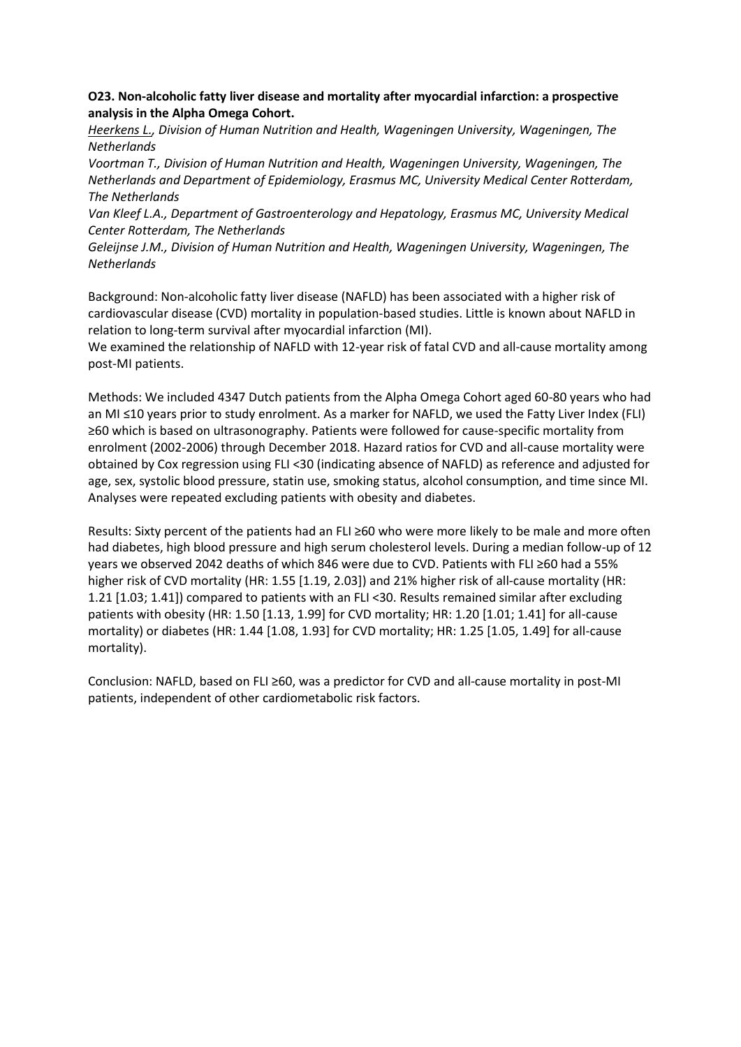**O23. Non-alcoholic fatty liver disease and mortality after myocardial infarction: a prospective analysis in the Alpha Omega Cohort.**

*Heerkens L., Division of Human Nutrition and Health, Wageningen University, Wageningen, The Netherlands*

*Voortman T., Division of Human Nutrition and Health, Wageningen University, Wageningen, The Netherlands and Department of Epidemiology, Erasmus MC, University Medical Center Rotterdam, The Netherlands*

*Van Kleef L.A., Department of Gastroenterology and Hepatology, Erasmus MC, University Medical Center Rotterdam, The Netherlands*

*Geleijnse J.M., Division of Human Nutrition and Health, Wageningen University, Wageningen, The Netherlands*

Background: Non-alcoholic fatty liver disease (NAFLD) has been associated with a higher risk of cardiovascular disease (CVD) mortality in population-based studies. Little is known about NAFLD in relation to long-term survival after myocardial infarction (MI).

We examined the relationship of NAFLD with 12-year risk of fatal CVD and all-cause mortality among post-MI patients.

Methods: We included 4347 Dutch patients from the Alpha Omega Cohort aged 60-80 years who had an MI ≤10 years prior to study enrolment. As a marker for NAFLD, we used the Fatty Liver Index (FLI) ≥60 which is based on ultrasonography. Patients were followed for cause-specific mortality from enrolment (2002-2006) through December 2018. Hazard ratios for CVD and all-cause mortality were obtained by Cox regression using FLI <30 (indicating absence of NAFLD) as reference and adjusted for age, sex, systolic blood pressure, statin use, smoking status, alcohol consumption, and time since MI. Analyses were repeated excluding patients with obesity and diabetes.

Results: Sixty percent of the patients had an FLI ≥60 who were more likely to be male and more often had diabetes, high blood pressure and high serum cholesterol levels. During a median follow-up of 12 years we observed 2042 deaths of which 846 were due to CVD. Patients with FLI ≥60 had a 55% higher risk of CVD mortality (HR: 1.55 [1.19, 2.03]) and 21% higher risk of all-cause mortality (HR: 1.21 [1.03; 1.41]) compared to patients with an FLI <30. Results remained similar after excluding patients with obesity (HR: 1.50 [1.13, 1.99] for CVD mortality; HR: 1.20 [1.01; 1.41] for all-cause mortality) or diabetes (HR: 1.44 [1.08, 1.93] for CVD mortality; HR: 1.25 [1.05, 1.49] for all-cause mortality).

Conclusion: NAFLD, based on FLI ≥60, was a predictor for CVD and all-cause mortality in post-MI patients, independent of other cardiometabolic risk factors.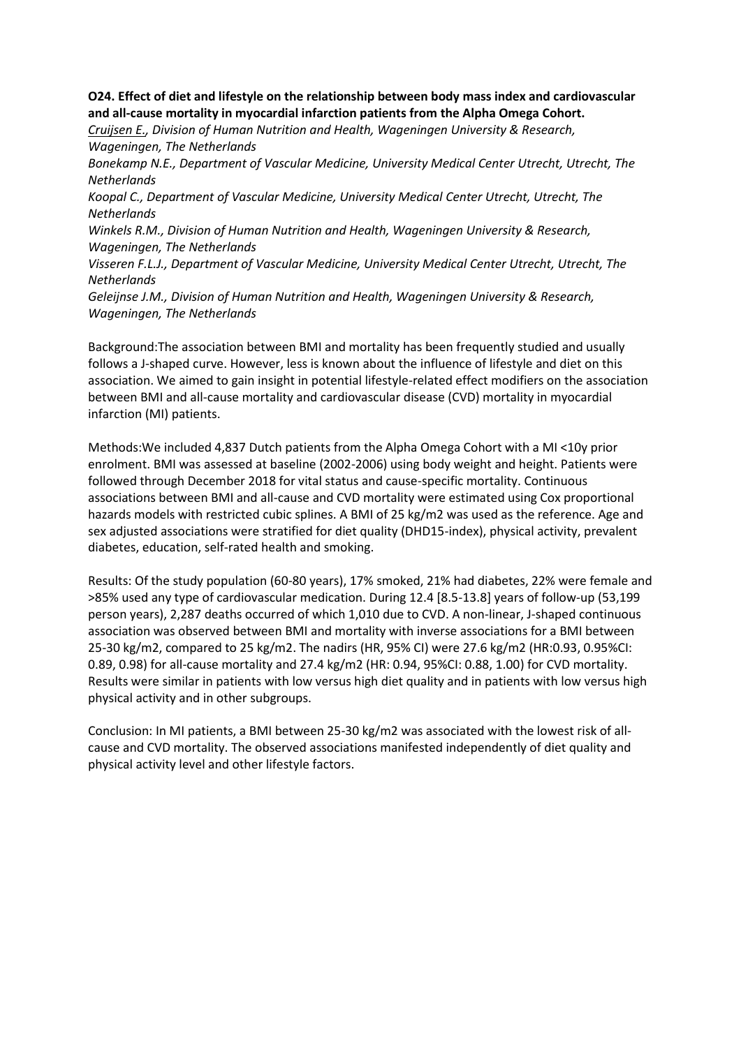**O24. Effect of diet and lifestyle on the relationship between body mass index and cardiovascular and all-cause mortality in myocardial infarction patients from the Alpha Omega Cohort.**

*Cruijsen E., Division of Human Nutrition and Health, Wageningen University & Research, Wageningen, The Netherlands*

*Bonekamp N.E., Department of Vascular Medicine, University Medical Center Utrecht, Utrecht, The Netherlands*

*Koopal C., Department of Vascular Medicine, University Medical Center Utrecht, Utrecht, The Netherlands*

*Winkels R.M., Division of Human Nutrition and Health, Wageningen University & Research, Wageningen, The Netherlands*

*Visseren F.L.J., Department of Vascular Medicine, University Medical Center Utrecht, Utrecht, The Netherlands*

*Geleijnse J.M., Division of Human Nutrition and Health, Wageningen University & Research, Wageningen, The Netherlands*

Background:The association between BMI and mortality has been frequently studied and usually follows a J-shaped curve. However, less is known about the influence of lifestyle and diet on this association. We aimed to gain insight in potential lifestyle-related effect modifiers on the association between BMI and all-cause mortality and cardiovascular disease (CVD) mortality in myocardial infarction (MI) patients.

Methods:We included 4,837 Dutch patients from the Alpha Omega Cohort with a MI <10y prior enrolment. BMI was assessed at baseline (2002-2006) using body weight and height. Patients were followed through December 2018 for vital status and cause-specific mortality. Continuous associations between BMI and all-cause and CVD mortality were estimated using Cox proportional hazards models with restricted cubic splines. A BMI of 25 kg/m2 was used as the reference. Age and sex adjusted associations were stratified for diet quality (DHD15-index), physical activity, prevalent diabetes, education, self-rated health and smoking.

Results: Of the study population (60-80 years), 17% smoked, 21% had diabetes, 22% were female and >85% used any type of cardiovascular medication. During 12.4 [8.5-13.8] years of follow-up (53,199 person years), 2,287 deaths occurred of which 1,010 due to CVD. A non-linear, J-shaped continuous association was observed between BMI and mortality with inverse associations for a BMI between 25-30 kg/m2, compared to 25 kg/m2. The nadirs (HR, 95% CI) were 27.6 kg/m2 (HR:0.93, 0.95%CI: 0.89, 0.98) for all-cause mortality and 27.4 kg/m2 (HR: 0.94, 95%CI: 0.88, 1.00) for CVD mortality. Results were similar in patients with low versus high diet quality and in patients with low versus high physical activity and in other subgroups.

Conclusion: In MI patients, a BMI between 25-30 kg/m2 was associated with the lowest risk of allcause and CVD mortality. The observed associations manifested independently of diet quality and physical activity level and other lifestyle factors.